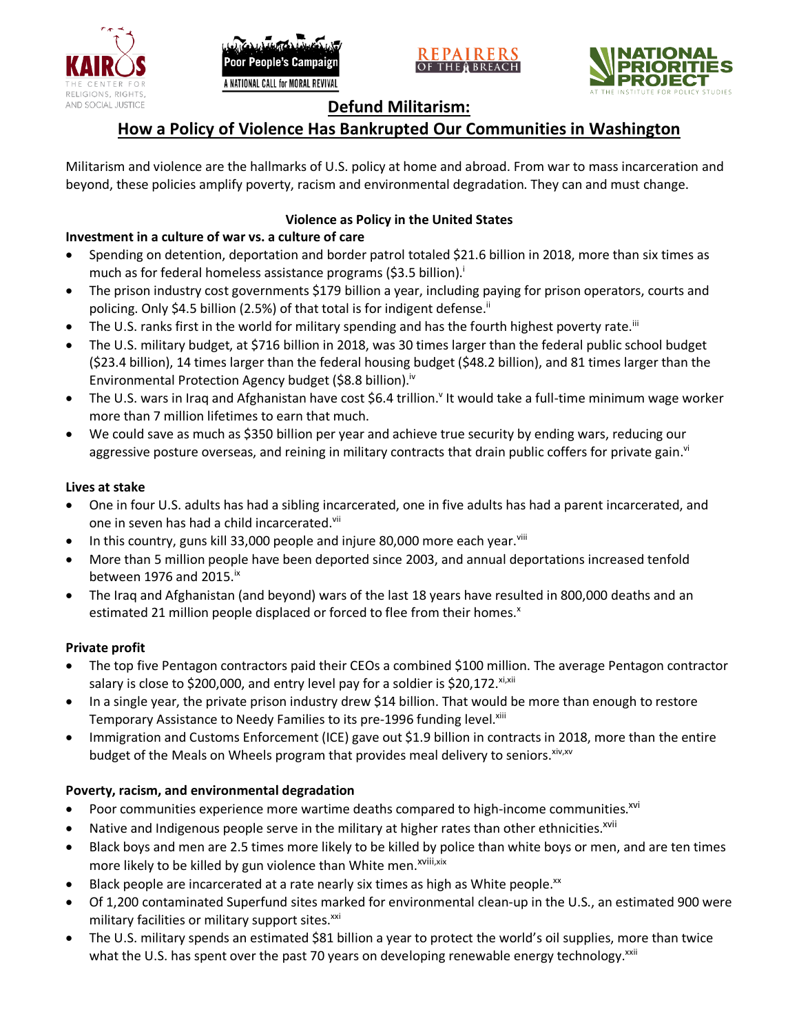





## **Defund Militarism:**

# **How a Policy of Violence Has Bankrupted Our Communities in Washington**

Militarism and violence are the hallmarks of U.S. policy at home and abroad. From war to mass incarceration and beyond, these policies amplify poverty, racism and environmental degradation. They can and must change.

### **Violence as Policy in the United States**

### **Investment in a culture of war vs. a culture of care**

- Spending on detention, deportation and border patrol totaled \$21.6 billion in 2018, more than six times as much as for federal homeless assistance programs (\$3.5 billion).<sup>i</sup>
- The prison industry cost governments \$179 billion a year, including paying for prison operators, courts and policing. Only \$4.5 billion (2.5%) of that total is for indigent defense.<sup>ii</sup>
- The U.S. ranks first in the world for military spending and has the fourth highest poverty rate.<sup>iii</sup>
- The U.S. military budget, at \$716 billion in 2018, was 30 times larger than the federal public school budget (\$23.4 billion), 14 times larger than the federal housing budget (\$48.2 billion), and 81 times larger than the Environmental Protection Agency budget (\$8.8 billion).<sup>iv</sup>
- The U.S. wars in Iraq and Afghanistan have cost \$6.4 trillion.<sup>v</sup> It would take a full-time minimum wage worker more than 7 million lifetimes to earn that much.
- We could save as much as \$350 billion per year and achieve true security by ending wars, reducing our aggressive posture overseas, and reining in military contracts that drain public coffers for private gain.<sup>vi</sup>

#### **Lives at stake**

- One in four U.S. adults has had a sibling incarcerated, one in five adults has had a parent incarcerated, and one in seven has had a child incarcerated.vii
- In this country, guns kill 33,000 people and injure 80,000 more each year. $v_{\text{lin}}$
- More than 5 million people have been deported since 2003, and annual deportations increased tenfold between 1976 and 2015. $\mathrm{i}$ <sup>x</sup>
- The Iraq and Afghanistan (and beyond) wars of the last 18 years have resulted in 800,000 deaths and an estimated 21 million people displaced or forced to flee from their homes.<sup>x</sup>

#### **Private profit**

- The top five Pentagon contractors paid their CEOs a combined \$100 million. The average Pentagon contractor salary is close to \$200,000, and entry level pay for a soldier is \$20,172. xi,xii
- In a single year, the private prison industry drew \$14 billion. That would be more than enough to restore Temporary Assistance to Needy Families to its pre-1996 funding level.<sup>xiii</sup>
- Immigration and Customs Enforcement (ICE) gave out \$1.9 billion in contracts in 2018, more than the entire budget of the Meals on Wheels program that provides meal delivery to seniors. Xiv, XV

### **Poverty, racism, and environmental degradation**

- Poor communities experience more wartime deaths compared to high-income communities.<sup>xvi</sup>
- Native and Indigenous people serve in the military at higher rates than other ethnicities.<sup>xvii</sup>
- Black boys and men are 2.5 times more likely to be killed by police than white boys or men, and are ten times more likely to be killed by gun violence than White men.<sup>xviii,xix</sup>
- Black people are incarcerated at a rate nearly six times as high as White people.<sup>xx</sup>
- Of 1,200 contaminated Superfund sites marked for environmental clean-up in the U.S., an estimated 900 were military facilities or military support sites.<sup>xxi</sup>
- The U.S. military spends an estimated \$81 billion a year to protect the world's oil supplies, more than twice what the U.S. has spent over the past 70 years on developing renewable energy technology.<sup>xxii</sup>